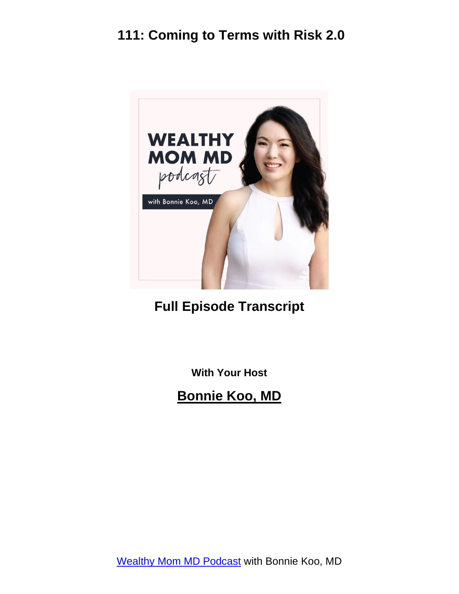

#### **Full Episode Transcript**

**With Your Host**

**Bonnie Koo, MD**

[Wealthy Mom MD Podcast](https://wealthymommd.com/podcast/) with Bonnie Koo, MD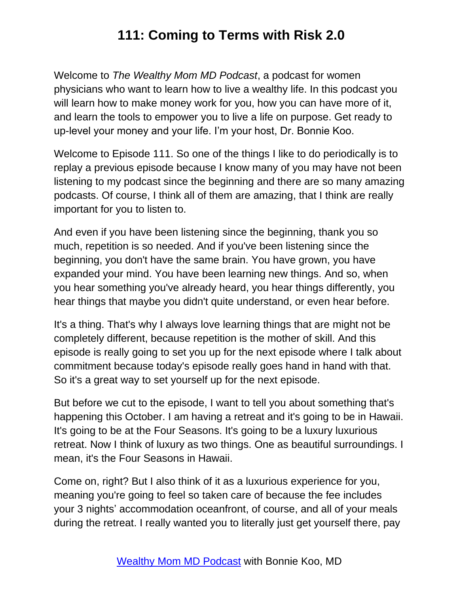Welcome to *The Wealthy Mom MD Podcast*, a podcast for women physicians who want to learn how to live a wealthy life. In this podcast you will learn how to make money work for you, how you can have more of it, and learn the tools to empower you to live a life on purpose. Get ready to up-level your money and your life. I'm your host, Dr. Bonnie Koo.

Welcome to Episode 111. So one of the things I like to do periodically is to replay a previous episode because I know many of you may have not been listening to my podcast since the beginning and there are so many amazing podcasts. Of course, I think all of them are amazing, that I think are really important for you to listen to.

And even if you have been listening since the beginning, thank you so much, repetition is so needed. And if you've been listening since the beginning, you don't have the same brain. You have grown, you have expanded your mind. You have been learning new things. And so, when you hear something you've already heard, you hear things differently, you hear things that maybe you didn't quite understand, or even hear before.

It's a thing. That's why I always love learning things that are might not be completely different, because repetition is the mother of skill. And this episode is really going to set you up for the next episode where I talk about commitment because today's episode really goes hand in hand with that. So it's a great way to set yourself up for the next episode.

But before we cut to the episode, I want to tell you about something that's happening this October. I am having a retreat and it's going to be in Hawaii. It's going to be at the Four Seasons. It's going to be a luxury luxurious retreat. Now I think of luxury as two things. One as beautiful surroundings. I mean, it's the Four Seasons in Hawaii.

Come on, right? But I also think of it as a luxurious experience for you, meaning you're going to feel so taken care of because the fee includes your 3 nights' accommodation oceanfront, of course, and all of your meals during the retreat. I really wanted you to literally just get yourself there, pay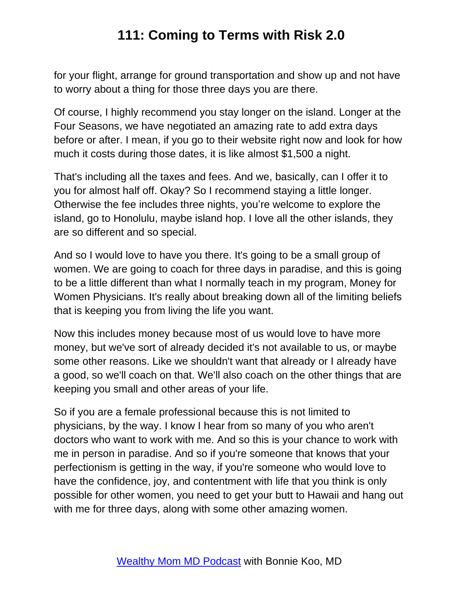for your flight, arrange for ground transportation and show up and not have to worry about a thing for those three days you are there.

Of course, I highly recommend you stay longer on the island. Longer at the Four Seasons, we have negotiated an amazing rate to add extra days before or after. I mean, if you go to their website right now and look for how much it costs during those dates, it is like almost \$1,500 a night.

That's including all the taxes and fees. And we, basically, can I offer it to you for almost half off. Okay? So I recommend staying a little longer. Otherwise the fee includes three nights, you're welcome to explore the island, go to Honolulu, maybe island hop. I love all the other islands, they are so different and so special.

And so I would love to have you there. It's going to be a small group of women. We are going to coach for three days in paradise, and this is going to be a little different than what I normally teach in my program, Money for Women Physicians. It's really about breaking down all of the limiting beliefs that is keeping you from living the life you want.

Now this includes money because most of us would love to have more money, but we've sort of already decided it's not available to us, or maybe some other reasons. Like we shouldn't want that already or I already have a good, so we'll coach on that. We'll also coach on the other things that are keeping you small and other areas of your life.

So if you are a female professional because this is not limited to physicians, by the way. I know I hear from so many of you who aren't doctors who want to work with me. And so this is your chance to work with me in person in paradise. And so if you're someone that knows that your perfectionism is getting in the way, if you're someone who would love to have the confidence, joy, and contentment with life that you think is only possible for other women, you need to get your butt to Hawaii and hang out with me for three days, along with some other amazing women.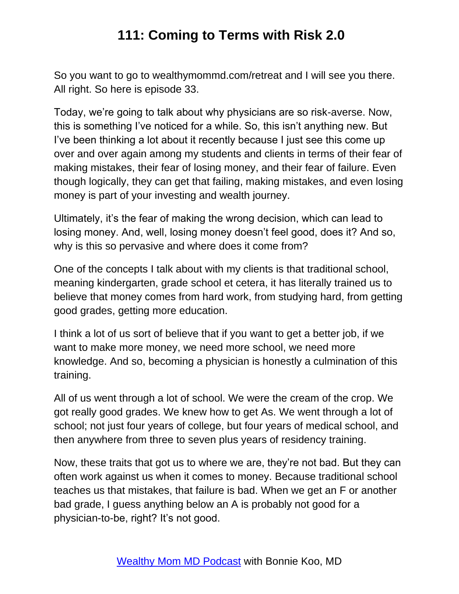So you want to go to wealthymommd.com/retreat and I will see you there. All right. So here is episode 33.

Today, we're going to talk about why physicians are so risk-averse. Now, this is something I've noticed for a while. So, this isn't anything new. But I've been thinking a lot about it recently because I just see this come up over and over again among my students and clients in terms of their fear of making mistakes, their fear of losing money, and their fear of failure. Even though logically, they can get that failing, making mistakes, and even losing money is part of your investing and wealth journey.

Ultimately, it's the fear of making the wrong decision, which can lead to losing money. And, well, losing money doesn't feel good, does it? And so, why is this so pervasive and where does it come from?

One of the concepts I talk about with my clients is that traditional school, meaning kindergarten, grade school et cetera, it has literally trained us to believe that money comes from hard work, from studying hard, from getting good grades, getting more education.

I think a lot of us sort of believe that if you want to get a better job, if we want to make more money, we need more school, we need more knowledge. And so, becoming a physician is honestly a culmination of this training.

All of us went through a lot of school. We were the cream of the crop. We got really good grades. We knew how to get As. We went through a lot of school; not just four years of college, but four years of medical school, and then anywhere from three to seven plus years of residency training.

Now, these traits that got us to where we are, they're not bad. But they can often work against us when it comes to money. Because traditional school teaches us that mistakes, that failure is bad. When we get an F or another bad grade, I guess anything below an A is probably not good for a physician-to-be, right? It's not good.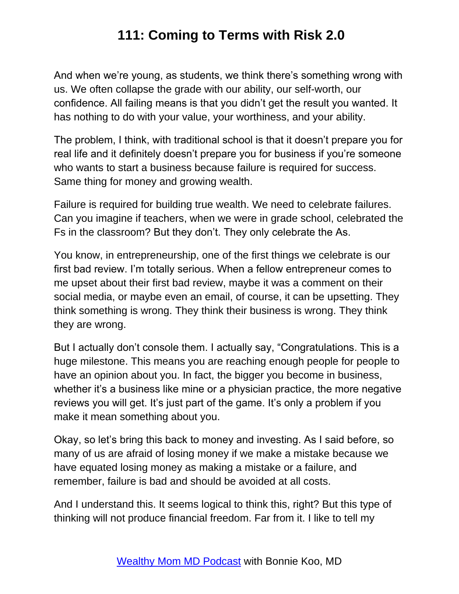And when we're young, as students, we think there's something wrong with us. We often collapse the grade with our ability, our self-worth, our confidence. All failing means is that you didn't get the result you wanted. It has nothing to do with your value, your worthiness, and your ability.

The problem, I think, with traditional school is that it doesn't prepare you for real life and it definitely doesn't prepare you for business if you're someone who wants to start a business because failure is required for success. Same thing for money and growing wealth.

Failure is required for building true wealth. We need to celebrate failures. Can you imagine if teachers, when we were in grade school, celebrated the Fs in the classroom? But they don't. They only celebrate the As.

You know, in entrepreneurship, one of the first things we celebrate is our first bad review. I'm totally serious. When a fellow entrepreneur comes to me upset about their first bad review, maybe it was a comment on their social media, or maybe even an email, of course, it can be upsetting. They think something is wrong. They think their business is wrong. They think they are wrong.

But I actually don't console them. I actually say, "Congratulations. This is a huge milestone. This means you are reaching enough people for people to have an opinion about you. In fact, the bigger you become in business, whether it's a business like mine or a physician practice, the more negative reviews you will get. It's just part of the game. It's only a problem if you make it mean something about you.

Okay, so let's bring this back to money and investing. As I said before, so many of us are afraid of losing money if we make a mistake because we have equated losing money as making a mistake or a failure, and remember, failure is bad and should be avoided at all costs.

And I understand this. It seems logical to think this, right? But this type of thinking will not produce financial freedom. Far from it. I like to tell my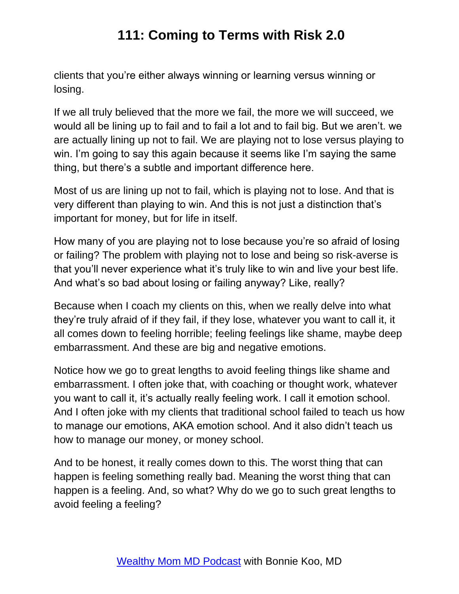clients that you're either always winning or learning versus winning or losing.

If we all truly believed that the more we fail, the more we will succeed, we would all be lining up to fail and to fail a lot and to fail big. But we aren't. we are actually lining up not to fail. We are playing not to lose versus playing to win. I'm going to say this again because it seems like I'm saying the same thing, but there's a subtle and important difference here.

Most of us are lining up not to fail, which is playing not to lose. And that is very different than playing to win. And this is not just a distinction that's important for money, but for life in itself.

How many of you are playing not to lose because you're so afraid of losing or failing? The problem with playing not to lose and being so risk-averse is that you'll never experience what it's truly like to win and live your best life. And what's so bad about losing or failing anyway? Like, really?

Because when I coach my clients on this, when we really delve into what they're truly afraid of if they fail, if they lose, whatever you want to call it, it all comes down to feeling horrible; feeling feelings like shame, maybe deep embarrassment. And these are big and negative emotions.

Notice how we go to great lengths to avoid feeling things like shame and embarrassment. I often joke that, with coaching or thought work, whatever you want to call it, it's actually really feeling work. I call it emotion school. And I often joke with my clients that traditional school failed to teach us how to manage our emotions, AKA emotion school. And it also didn't teach us how to manage our money, or money school.

And to be honest, it really comes down to this. The worst thing that can happen is feeling something really bad. Meaning the worst thing that can happen is a feeling. And, so what? Why do we go to such great lengths to avoid feeling a feeling?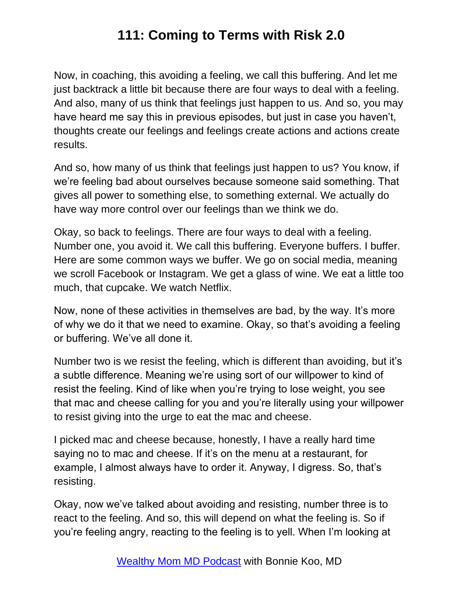Now, in coaching, this avoiding a feeling, we call this buffering. And let me just backtrack a little bit because there are four ways to deal with a feeling. And also, many of us think that feelings just happen to us. And so, you may have heard me say this in previous episodes, but just in case you haven't, thoughts create our feelings and feelings create actions and actions create results.

And so, how many of us think that feelings just happen to us? You know, if we're feeling bad about ourselves because someone said something. That gives all power to something else, to something external. We actually do have way more control over our feelings than we think we do.

Okay, so back to feelings. There are four ways to deal with a feeling. Number one, you avoid it. We call this buffering. Everyone buffers. I buffer. Here are some common ways we buffer. We go on social media, meaning we scroll Facebook or Instagram. We get a glass of wine. We eat a little too much, that cupcake. We watch Netflix.

Now, none of these activities in themselves are bad, by the way. It's more of why we do it that we need to examine. Okay, so that's avoiding a feeling or buffering. We've all done it.

Number two is we resist the feeling, which is different than avoiding, but it's a subtle difference. Meaning we're using sort of our willpower to kind of resist the feeling. Kind of like when you're trying to lose weight, you see that mac and cheese calling for you and you're literally using your willpower to resist giving into the urge to eat the mac and cheese.

I picked mac and cheese because, honestly, I have a really hard time saying no to mac and cheese. If it's on the menu at a restaurant, for example, I almost always have to order it. Anyway, I digress. So, that's resisting.

Okay, now we've talked about avoiding and resisting, number three is to react to the feeling. And so, this will depend on what the feeling is. So if you're feeling angry, reacting to the feeling is to yell. When I'm looking at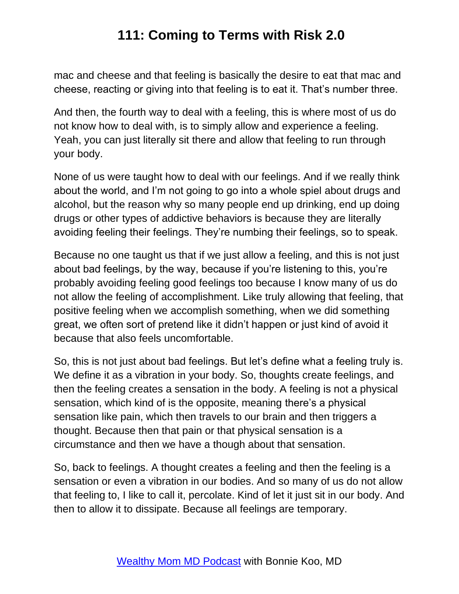mac and cheese and that feeling is basically the desire to eat that mac and cheese, reacting or giving into that feeling is to eat it. That's number three.

And then, the fourth way to deal with a feeling, this is where most of us do not know how to deal with, is to simply allow and experience a feeling. Yeah, you can just literally sit there and allow that feeling to run through your body.

None of us were taught how to deal with our feelings. And if we really think about the world, and I'm not going to go into a whole spiel about drugs and alcohol, but the reason why so many people end up drinking, end up doing drugs or other types of addictive behaviors is because they are literally avoiding feeling their feelings. They're numbing their feelings, so to speak.

Because no one taught us that if we just allow a feeling, and this is not just about bad feelings, by the way, because if you're listening to this, you're probably avoiding feeling good feelings too because I know many of us do not allow the feeling of accomplishment. Like truly allowing that feeling, that positive feeling when we accomplish something, when we did something great, we often sort of pretend like it didn't happen or just kind of avoid it because that also feels uncomfortable.

So, this is not just about bad feelings. But let's define what a feeling truly is. We define it as a vibration in your body. So, thoughts create feelings, and then the feeling creates a sensation in the body. A feeling is not a physical sensation, which kind of is the opposite, meaning there's a physical sensation like pain, which then travels to our brain and then triggers a thought. Because then that pain or that physical sensation is a circumstance and then we have a though about that sensation.

So, back to feelings. A thought creates a feeling and then the feeling is a sensation or even a vibration in our bodies. And so many of us do not allow that feeling to, I like to call it, percolate. Kind of let it just sit in our body. And then to allow it to dissipate. Because all feelings are temporary.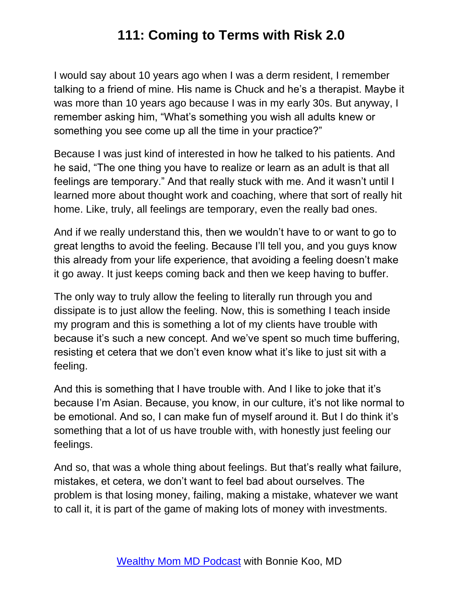I would say about 10 years ago when I was a derm resident, I remember talking to a friend of mine. His name is Chuck and he's a therapist. Maybe it was more than 10 years ago because I was in my early 30s. But anyway, I remember asking him, "What's something you wish all adults knew or something you see come up all the time in your practice?"

Because I was just kind of interested in how he talked to his patients. And he said, "The one thing you have to realize or learn as an adult is that all feelings are temporary." And that really stuck with me. And it wasn't until I learned more about thought work and coaching, where that sort of really hit home. Like, truly, all feelings are temporary, even the really bad ones.

And if we really understand this, then we wouldn't have to or want to go to great lengths to avoid the feeling. Because I'll tell you, and you guys know this already from your life experience, that avoiding a feeling doesn't make it go away. It just keeps coming back and then we keep having to buffer.

The only way to truly allow the feeling to literally run through you and dissipate is to just allow the feeling. Now, this is something I teach inside my program and this is something a lot of my clients have trouble with because it's such a new concept. And we've spent so much time buffering, resisting et cetera that we don't even know what it's like to just sit with a feeling.

And this is something that I have trouble with. And I like to joke that it's because I'm Asian. Because, you know, in our culture, it's not like normal to be emotional. And so, I can make fun of myself around it. But I do think it's something that a lot of us have trouble with, with honestly just feeling our feelings.

And so, that was a whole thing about feelings. But that's really what failure, mistakes, et cetera, we don't want to feel bad about ourselves. The problem is that losing money, failing, making a mistake, whatever we want to call it, it is part of the game of making lots of money with investments.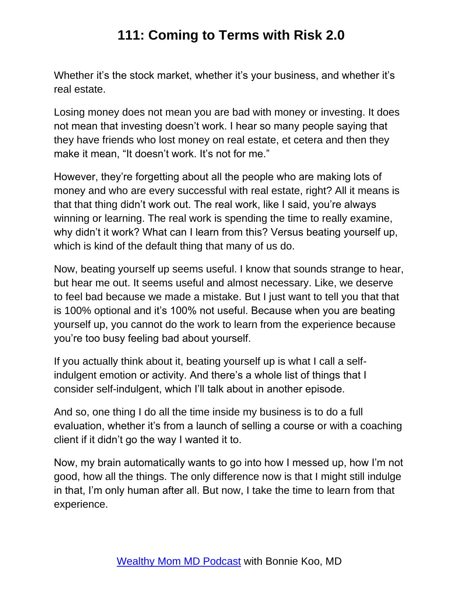Whether it's the stock market, whether it's your business, and whether it's real estate.

Losing money does not mean you are bad with money or investing. It does not mean that investing doesn't work. I hear so many people saying that they have friends who lost money on real estate, et cetera and then they make it mean, "It doesn't work. It's not for me."

However, they're forgetting about all the people who are making lots of money and who are every successful with real estate, right? All it means is that that thing didn't work out. The real work, like I said, you're always winning or learning. The real work is spending the time to really examine, why didn't it work? What can I learn from this? Versus beating yourself up, which is kind of the default thing that many of us do.

Now, beating yourself up seems useful. I know that sounds strange to hear, but hear me out. It seems useful and almost necessary. Like, we deserve to feel bad because we made a mistake. But I just want to tell you that that is 100% optional and it's 100% not useful. Because when you are beating yourself up, you cannot do the work to learn from the experience because you're too busy feeling bad about yourself.

If you actually think about it, beating yourself up is what I call a selfindulgent emotion or activity. And there's a whole list of things that I consider self-indulgent, which I'll talk about in another episode.

And so, one thing I do all the time inside my business is to do a full evaluation, whether it's from a launch of selling a course or with a coaching client if it didn't go the way I wanted it to.

Now, my brain automatically wants to go into how I messed up, how I'm not good, how all the things. The only difference now is that I might still indulge in that, I'm only human after all. But now, I take the time to learn from that experience.